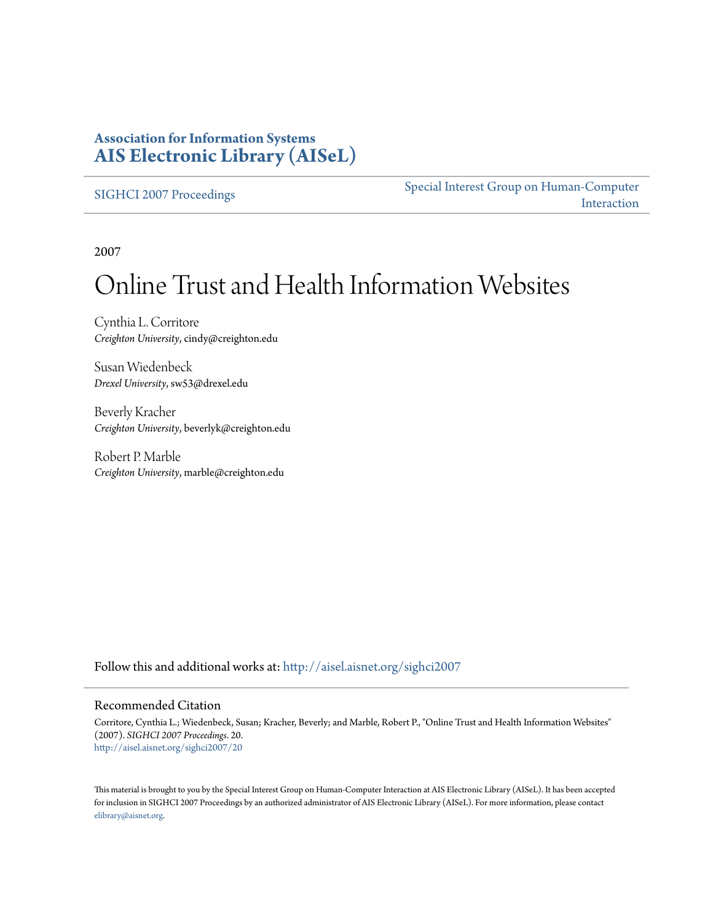### **Association for Information Systems [AIS Electronic Library \(AISeL\)](http://aisel.aisnet.org?utm_source=aisel.aisnet.org%2Fsighci2007%2F20&utm_medium=PDF&utm_campaign=PDFCoverPages)**

[SIGHCI 2007 Proceedings](http://aisel.aisnet.org/sighci2007?utm_source=aisel.aisnet.org%2Fsighci2007%2F20&utm_medium=PDF&utm_campaign=PDFCoverPages)

[Special Interest Group on Human-Computer](http://aisel.aisnet.org/sighci?utm_source=aisel.aisnet.org%2Fsighci2007%2F20&utm_medium=PDF&utm_campaign=PDFCoverPages) [Interaction](http://aisel.aisnet.org/sighci?utm_source=aisel.aisnet.org%2Fsighci2007%2F20&utm_medium=PDF&utm_campaign=PDFCoverPages)

2007

# Online Trust and Health Information Websites

Cynthia L. Corritore *Creighton University*, cindy@creighton.edu

Susan Wiedenbeck *Drexel University*, sw53@drexel.edu

Beverly Kracher *Creighton University*, beverlyk@creighton.edu

Robert P. Marble *Creighton University*, marble@creighton.edu

Follow this and additional works at: [http://aisel.aisnet.org/sighci2007](http://aisel.aisnet.org/sighci2007?utm_source=aisel.aisnet.org%2Fsighci2007%2F20&utm_medium=PDF&utm_campaign=PDFCoverPages)

#### Recommended Citation

Corritore, Cynthia L.; Wiedenbeck, Susan; Kracher, Beverly; and Marble, Robert P., "Online Trust and Health Information Websites" (2007). *SIGHCI 2007 Proceedings*. 20. [http://aisel.aisnet.org/sighci2007/20](http://aisel.aisnet.org/sighci2007/20?utm_source=aisel.aisnet.org%2Fsighci2007%2F20&utm_medium=PDF&utm_campaign=PDFCoverPages)

This material is brought to you by the Special Interest Group on Human-Computer Interaction at AIS Electronic Library (AISeL). It has been accepted for inclusion in SIGHCI 2007 Proceedings by an authorized administrator of AIS Electronic Library (AISeL). For more information, please contact [elibrary@aisnet.org.](mailto:elibrary@aisnet.org%3E)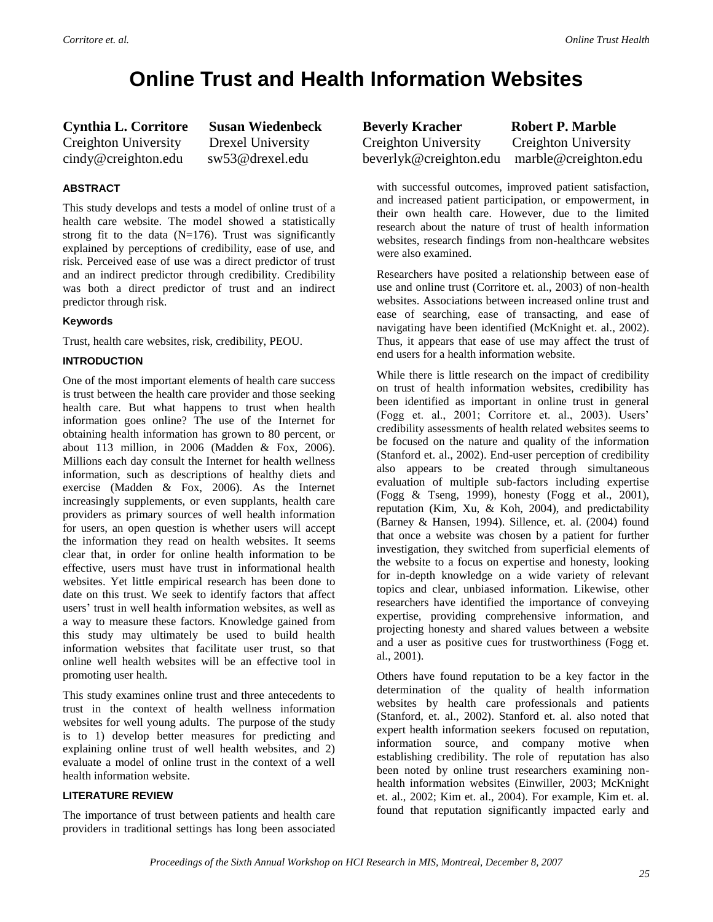## **Online Trust and Health Information Websites**

**Cynthia L. Corritore Susan Wiedenbeck** Creighton University Drexel University cindy@creighton.edu sw53@drexel.edu

#### **ABSTRACT**

This study develops and tests a model of online trust of a health care website. The model showed a statistically strong fit to the data  $(N=176)$ . Trust was significantly explained by perceptions of credibility, ease of use, and risk. Perceived ease of use was a direct predictor of trust and an indirect predictor through credibility. Credibility was both a direct predictor of trust and an indirect predictor through risk.

#### **Keywords**

Trust, health care websites, risk, credibility, PEOU.

#### **INTRODUCTION**

One of the most important elements of health care success is trust between the health care provider and those seeking health care. But what happens to trust when health information goes online? The use of the Internet for obtaining health information has grown to 80 percent, or about 113 million, in 2006 (Madden & Fox, 2006). Millions each day consult the Internet for health wellness information, such as descriptions of healthy diets and exercise (Madden & Fox, 2006). As the Internet increasingly supplements, or even supplants, health care providers as primary sources of well health information for users, an open question is whether users will accept the information they read on health websites. It seems clear that, in order for online health information to be effective, users must have trust in informational health websites. Yet little empirical research has been done to date on this trust. We seek to identify factors that affect users' trust in well health information websites, as well as a way to measure these factors. Knowledge gained from this study may ultimately be used to build health information websites that facilitate user trust, so that online well health websites will be an effective tool in promoting user health.

This study examines online trust and three antecedents to trust in the context of health wellness information websites for well young adults. The purpose of the study is to 1) develop better measures for predicting and explaining online trust of well health websites, and 2) evaluate a model of online trust in the context of a well health information website.

#### **LITERATURE REVIEW**

The importance of trust between patients and health care providers in traditional settings has long been associated **Beverly Kracher Robert P. Marble** Creighton University Creighton University beverlyk@creighton.edu marble@creighton.edu

with successful outcomes, improved patient satisfaction, and increased patient participation, or empowerment, in their own health care. However, due to the limited research about the nature of trust of health information websites, research findings from non-healthcare websites were also examined.

Researchers have posited a relationship between ease of use and online trust (Corritore et. al., 2003) of non-health websites. Associations between increased online trust and ease of searching, ease of transacting, and ease of navigating have been identified (McKnight et. al., 2002). Thus, it appears that ease of use may affect the trust of end users for a health information website.

While there is little research on the impact of credibility on trust of health information websites, credibility has been identified as important in online trust in general (Fogg et. al., 2001; Corritore et. al., 2003). Users' credibility assessments of health related websites seems to be focused on the nature and quality of the information (Stanford et. al., 2002). End-user perception of credibility also appears to be created through simultaneous evaluation of multiple sub-factors including expertise (Fogg & Tseng, 1999), honesty (Fogg et al., 2001), reputation (Kim, Xu, & Koh, 2004), and predictability (Barney & Hansen, 1994). Sillence, et. al. (2004) found that once a website was chosen by a patient for further investigation, they switched from superficial elements of the website to a focus on expertise and honesty, looking for in-depth knowledge on a wide variety of relevant topics and clear, unbiased information. Likewise, other researchers have identified the importance of conveying expertise, providing comprehensive information, and projecting honesty and shared values between a website and a user as positive cues for trustworthiness (Fogg et. al., 2001).

Others have found reputation to be a key factor in the determination of the quality of health information websites by health care professionals and patients (Stanford, et. al., 2002). Stanford et. al. also noted that expert health information seekers focused on reputation, information source, and company motive when establishing credibility. The role of reputation has also been noted by online trust researchers examining nonhealth information websites (Einwiller, 2003; McKnight et. al., 2002; Kim et. al., 2004). For example, Kim et. al. found that reputation significantly impacted early and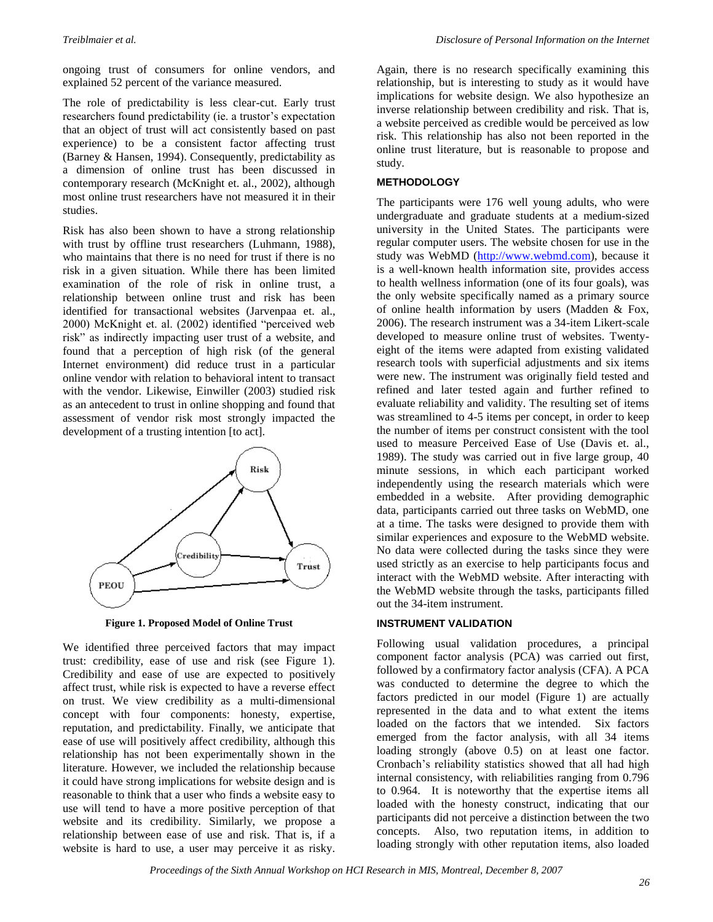ongoing trust of consumers for online vendors, and explained 52 percent of the variance measured.

The role of predictability is less clear-cut. Early trust researchers found predictability (ie. a trustor's expectation that an object of trust will act consistently based on past experience) to be a consistent factor affecting trust (Barney & Hansen, 1994). Consequently, predictability as a dimension of online trust has been discussed in contemporary research (McKnight et. al., 2002), although most online trust researchers have not measured it in their studies.

Risk has also been shown to have a strong relationship with trust by offline trust researchers (Luhmann, 1988), who maintains that there is no need for trust if there is no risk in a given situation. While there has been limited examination of the role of risk in online trust, a relationship between online trust and risk has been identified for transactional websites (Jarvenpaa et. al., 2000) McKnight et. al. (2002) identified "perceived web risk" as indirectly impacting user trust of a website, and found that a perception of high risk (of the general Internet environment) did reduce trust in a particular online vendor with relation to behavioral intent to transact with the vendor. Likewise, Einwiller (2003) studied risk as an antecedent to trust in online shopping and found that assessment of vendor risk most strongly impacted the development of a trusting intention [to act].



**Figure 1. Proposed Model of Online Trust** 

We identified three perceived factors that may impact trust: credibility, ease of use and risk (see Figure 1). Credibility and ease of use are expected to positively affect trust, while risk is expected to have a reverse effect on trust. We view credibility as a multi-dimensional concept with four components: honesty, expertise, reputation, and predictability. Finally, we anticipate that ease of use will positively affect credibility, although this relationship has not been experimentally shown in the literature. However, we included the relationship because it could have strong implications for website design and is reasonable to think that a user who finds a website easy to use will tend to have a more positive perception of that website and its credibility. Similarly, we propose a relationship between ease of use and risk. That is, if a website is hard to use, a user may perceive it as risky.

Again, there is no research specifically examining this relationship, but is interesting to study as it would have implications for website design. We also hypothesize an inverse relationship between credibility and risk. That is, a website perceived as credible would be perceived as low risk. This relationship has also not been reported in the online trust literature, but is reasonable to propose and study.

#### **METHODOLOGY**

The participants were 176 well young adults, who were undergraduate and graduate students at a medium-sized university in the United States. The participants were regular computer users. The website chosen for use in the study was WebMD [\(http://www.webmd.com\)](http://www.webmd.com/), because it is a well-known health information site, provides access to health wellness information (one of its four goals), was the only website specifically named as a primary source of online health information by users (Madden & Fox, 2006). The research instrument was a 34-item Likert-scale developed to measure online trust of websites. Twentyeight of the items were adapted from existing validated research tools with superficial adjustments and six items were new. The instrument was originally field tested and refined and later tested again and further refined to evaluate reliability and validity. The resulting set of items was streamlined to 4-5 items per concept, in order to keep the number of items per construct consistent with the tool used to measure Perceived Ease of Use (Davis et. al., 1989). The study was carried out in five large group, 40 minute sessions, in which each participant worked independently using the research materials which were embedded in a website. After providing demographic data, participants carried out three tasks on WebMD, one at a time. The tasks were designed to provide them with similar experiences and exposure to the WebMD website. No data were collected during the tasks since they were used strictly as an exercise to help participants focus and interact with the WebMD website. After interacting with the WebMD website through the tasks, participants filled out the 34-item instrument.

#### **INSTRUMENT VALIDATION**

Following usual validation procedures, a principal component factor analysis (PCA) was carried out first, followed by a confirmatory factor analysis (CFA). A PCA was conducted to determine the degree to which the factors predicted in our model (Figure 1) are actually represented in the data and to what extent the items loaded on the factors that we intended. Six factors emerged from the factor analysis, with all 34 items loading strongly (above 0.5) on at least one factor. Cronbach's reliability statistics showed that all had high internal consistency, with reliabilities ranging from 0.796 to 0.964. It is noteworthy that the expertise items all loaded with the honesty construct, indicating that our participants did not perceive a distinction between the two concepts. Also, two reputation items, in addition to loading strongly with other reputation items, also loaded

*Proceedings of the Sixth Annual Workshop on HCI Research in MIS, Montreal, December 8, 2007*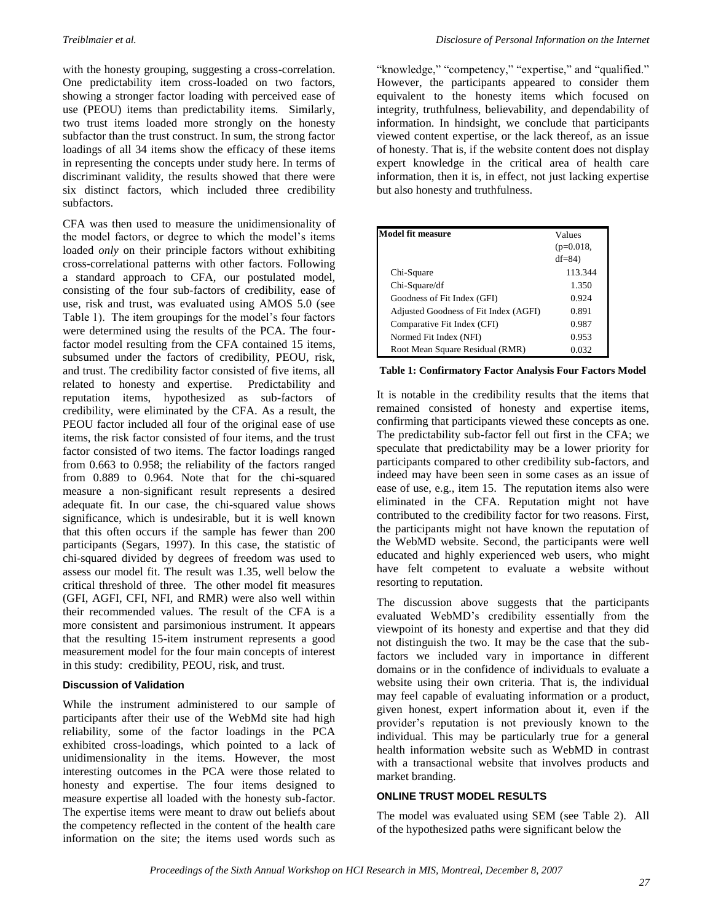with the honesty grouping, suggesting a cross-correlation. One predictability item cross-loaded on two factors, showing a stronger factor loading with perceived ease of use (PEOU) items than predictability items. Similarly, two trust items loaded more strongly on the honesty subfactor than the trust construct. In sum, the strong factor loadings of all 34 items show the efficacy of these items in representing the concepts under study here. In terms of discriminant validity, the results showed that there were six distinct factors, which included three credibility subfactors.

CFA was then used to measure the unidimensionality of the model factors, or degree to which the model's items loaded *only* on their principle factors without exhibiting cross-correlational patterns with other factors. Following a standard approach to CFA, our postulated model, consisting of the four sub-factors of credibility, ease of use, risk and trust, was evaluated using AMOS 5.0 (see Table 1). The item groupings for the model's four factors were determined using the results of the PCA. The fourfactor model resulting from the CFA contained 15 items, subsumed under the factors of credibility, PEOU, risk, and trust. The credibility factor consisted of five items, all related to honesty and expertise. Predictability and reputation items, hypothesized as sub-factors of credibility, were eliminated by the CFA. As a result, the PEOU factor included all four of the original ease of use items, the risk factor consisted of four items, and the trust factor consisted of two items. The factor loadings ranged from 0.663 to 0.958; the reliability of the factors ranged from 0.889 to 0.964. Note that for the chi-squared measure a non-significant result represents a desired adequate fit. In our case, the chi-squared value shows significance, which is undesirable, but it is well known that this often occurs if the sample has fewer than 200 participants (Segars, 1997). In this case, the statistic of chi-squared divided by degrees of freedom was used to assess our model fit. The result was 1.35, well below the critical threshold of three. The other model fit measures (GFI, AGFI, CFI, NFI, and RMR) were also well within their recommended values. The result of the CFA is a more consistent and parsimonious instrument. It appears that the resulting 15-item instrument represents a good measurement model for the four main concepts of interest in this study: credibility, PEOU, risk, and trust.

#### **Discussion of Validation**

While the instrument administered to our sample of participants after their use of the WebMd site had high reliability, some of the factor loadings in the PCA exhibited cross-loadings, which pointed to a lack of unidimensionality in the items. However, the most interesting outcomes in the PCA were those related to honesty and expertise. The four items designed to measure expertise all loaded with the honesty sub-factor. The expertise items were meant to draw out beliefs about the competency reflected in the content of the health care information on the site; the items used words such as "knowledge," "competency," "expertise," and "qualified." However, the participants appeared to consider them equivalent to the honesty items which focused on integrity, truthfulness, believability, and dependability of information. In hindsight, we conclude that participants viewed content expertise, or the lack thereof, as an issue of honesty. That is, if the website content does not display expert knowledge in the critical area of health care information, then it is, in effect, not just lacking expertise but also honesty and truthfulness.

| Model fit measure                     |             |
|---------------------------------------|-------------|
|                                       | Values      |
|                                       | $(p=0.018,$ |
|                                       | $df=84$     |
| Chi-Square                            | 113.344     |
| Chi-Square/df                         | 1.350       |
| Goodness of Fit Index (GFI)           | 0.924       |
| Adjusted Goodness of Fit Index (AGFI) | 0.891       |
| Comparative Fit Index (CFI)           | 0.987       |
| Normed Fit Index (NFI)                | 0.953       |
| Root Mean Square Residual (RMR)       | 0.032       |

#### **Table 1: Confirmatory Factor Analysis Four Factors Model**

It is notable in the credibility results that the items that remained consisted of honesty and expertise items, confirming that participants viewed these concepts as one. The predictability sub-factor fell out first in the CFA; we speculate that predictability may be a lower priority for participants compared to other credibility sub-factors, and indeed may have been seen in some cases as an issue of ease of use, e.g., item 15. The reputation items also were eliminated in the CFA. Reputation might not have contributed to the credibility factor for two reasons. First, the participants might not have known the reputation of the WebMD website. Second, the participants were well educated and highly experienced web users, who might have felt competent to evaluate a website without resorting to reputation.

The discussion above suggests that the participants evaluated WebMD's credibility essentially from the viewpoint of its honesty and expertise and that they did not distinguish the two. It may be the case that the subfactors we included vary in importance in different domains or in the confidence of individuals to evaluate a website using their own criteria. That is, the individual may feel capable of evaluating information or a product, given honest, expert information about it, even if the provider's reputation is not previously known to the individual. This may be particularly true for a general health information website such as WebMD in contrast with a transactional website that involves products and market branding.

#### **ONLINE TRUST MODEL RESULTS**

The model was evaluated using SEM (see Table 2). All of the hypothesized paths were significant below the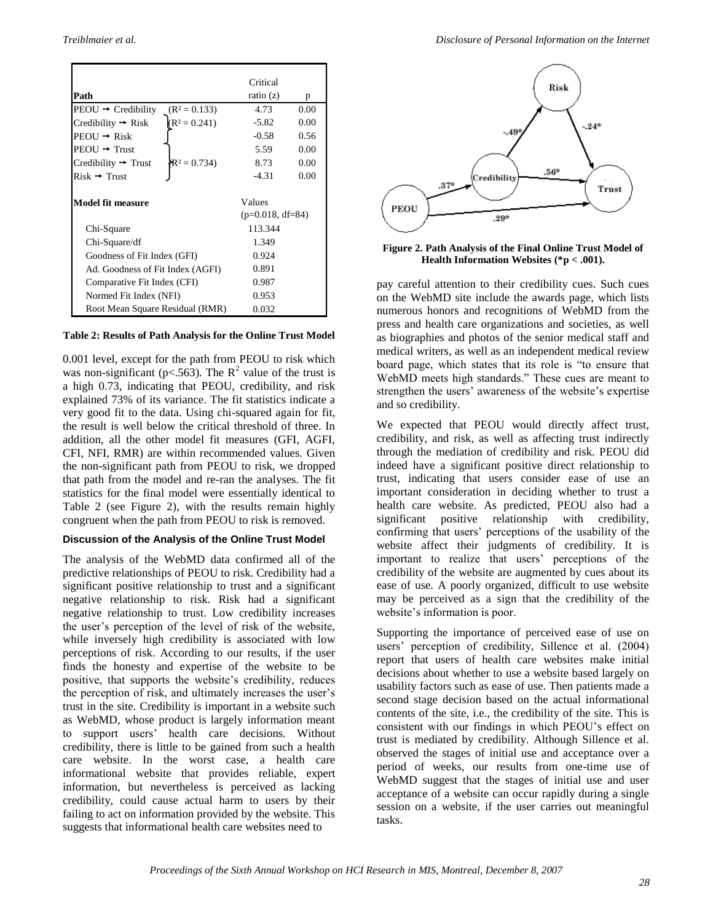|                                                   | Critical           |      |
|---------------------------------------------------|--------------------|------|
| Path                                              | ratio (z)          | p    |
| $PEOU \rightarrow Credibility$<br>$(R^2 = 0.133)$ | 4.73               | 0.00 |
| $(R^2 = 0.241)$<br>Credibility $\rightarrow$ Risk | $-5.82$            | 0.00 |
| $PEOU \rightarrow Risk$                           | $-0.58$            | 0.56 |
| $PEOU \rightarrow Trust$                          | 5.59               | 0.00 |
| $R^2 = 0.734$<br>Credibility $\rightarrow$ Trust  | 8.73               | 0.00 |
| $Risk \rightarrow Trust$                          | -4.31              | 0.00 |
|                                                   |                    |      |
| <b>Model fit measure</b>                          | Values             |      |
|                                                   | $(p=0.018, df=84)$ |      |
| Chi-Square                                        | 113.344            |      |
| Chi-Square/df                                     | 1.349              |      |
| Goodness of Fit Index (GFI)                       | 0.924              |      |
| Ad. Goodness of Fit Index (AGFI)                  | 0.891              |      |
| Comparative Fit Index (CFI)                       | 0.987              |      |
| Normed Fit Index (NFI)                            | 0.953              |      |
| Root Mean Square Residual (RMR)                   | 0.032              |      |

#### **Table 2: Results of Path Analysis for the Online Trust Model**

0.001 level, except for the path from PEOU to risk which was non-significant ( $p < 563$ ). The R<sup>2</sup> value of the trust is a high 0.73, indicating that PEOU, credibility, and risk explained 73% of its variance. The fit statistics indicate a very good fit to the data. Using chi-squared again for fit, the result is well below the critical threshold of three. In addition, all the other model fit measures (GFI, AGFI, CFI, NFI, RMR) are within recommended values. Given the non-significant path from PEOU to risk, we dropped that path from the model and re-ran the analyses. The fit statistics for the final model were essentially identical to Table 2 (see Figure 2), with the results remain highly congruent when the path from PEOU to risk is removed.

#### **Discussion of the Analysis of the Online Trust Model**

The analysis of the WebMD data confirmed all of the predictive relationships of PEOU to risk. Credibility had a significant positive relationship to trust and a significant negative relationship to risk. Risk had a significant negative relationship to trust. Low credibility increases the user's perception of the level of risk of the website, while inversely high credibility is associated with low perceptions of risk. According to our results, if the user finds the honesty and expertise of the website to be positive, that supports the website's credibility, reduces the perception of risk, and ultimately increases the user's trust in the site. Credibility is important in a website such as WebMD, whose product is largely information meant to support users' health care decisions. Without credibility, there is little to be gained from such a health care website. In the worst case, a health care informational website that provides reliable, expert information, but nevertheless is perceived as lacking credibility, could cause actual harm to users by their failing to act on information provided by the website. This suggests that informational health care websites need to



**Figure 2. Path Analysis of the Final Online Trust Model of Health Information Websites (\*p < .001).**

pay careful attention to their credibility cues. Such cues on the WebMD site include the awards page, which lists numerous honors and recognitions of WebMD from the press and health care organizations and societies, as well as biographies and photos of the senior medical staff and medical writers, as well as an independent medical review board page, which states that its role is "to ensure that WebMD meets high standards." These cues are meant to strengthen the users' awareness of the website's expertise and so credibility.

We expected that PEOU would directly affect trust, credibility, and risk, as well as affecting trust indirectly through the mediation of credibility and risk. PEOU did indeed have a significant positive direct relationship to trust, indicating that users consider ease of use an important consideration in deciding whether to trust a health care website. As predicted, PEOU also had a significant positive relationship with credibility, confirming that users' perceptions of the usability of the website affect their judgments of credibility. It is important to realize that users' perceptions of the credibility of the website are augmented by cues about its ease of use. A poorly organized, difficult to use website may be perceived as a sign that the credibility of the website's information is poor.

Supporting the importance of perceived ease of use on users' perception of credibility, Sillence et al. (2004) report that users of health care websites make initial decisions about whether to use a website based largely on usability factors such as ease of use. Then patients made a second stage decision based on the actual informational contents of the site, i.e., the credibility of the site. This is consistent with our findings in which PEOU's effect on trust is mediated by credibility. Although Sillence et al. observed the stages of initial use and acceptance over a period of weeks, our results from one-time use of WebMD suggest that the stages of initial use and user acceptance of a website can occur rapidly during a single session on a website, if the user carries out meaningful tasks.